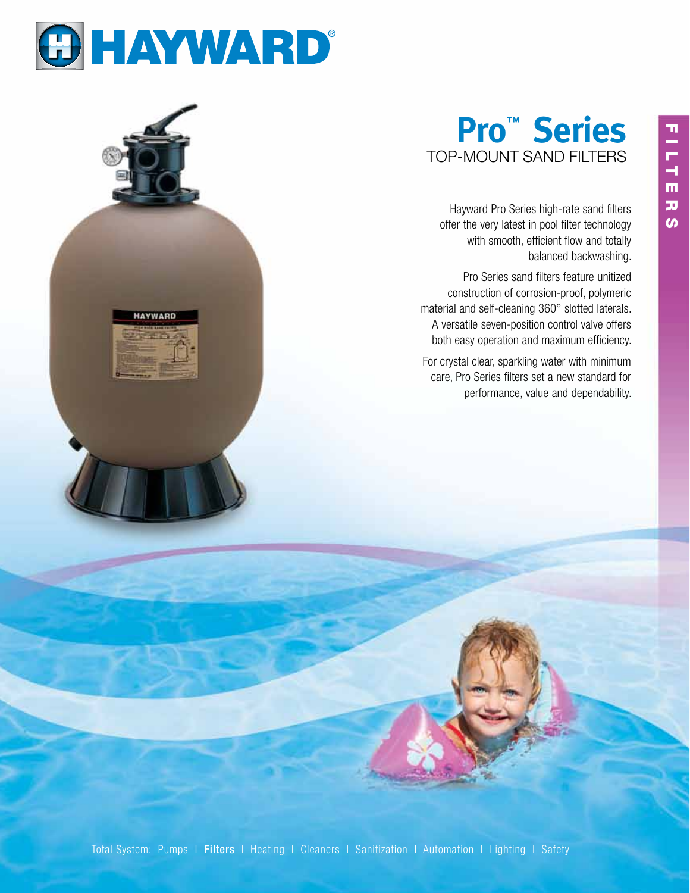

# **Pro™ Series** TOP-MOUNT SAND FILTERS

Hayward Pro Series high-rate sand filters offer the very latest in pool filter technology with smooth, efficient flow and totally balanced backwashing.

Pro Series sand filters feature unitized construction of corrosion-proof, polymeric material and self-cleaning 360° slotted laterals. A versatile seven-position control valve offers both easy operation and maximum efficiency.

For crystal clear, sparkling water with minimum care, Pro Series filters set a new standard for performance, value and dependability.